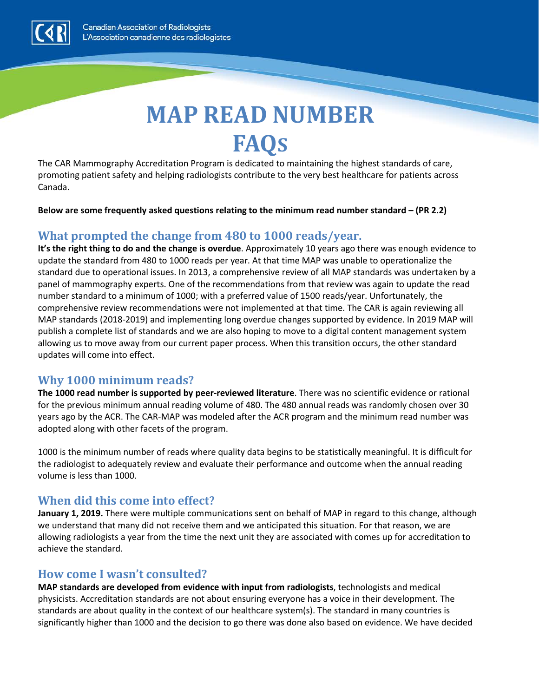

# **MAP READ NUMBER FAQS**

The CAR Mammography Accreditation Program is dedicated to maintaining the highest standards of care, promoting patient safety and helping radiologists contribute to the very best healthcare for patients across Canada.

**Below are some frequently asked questions relating to the minimum read number standard – (PR 2.2)**

#### **What prompted the change from 480 to 1000 reads/year.**

**It's the right thing to do and the change is overdue**. Approximately 10 years ago there was enough evidence to update the standard from 480 to 1000 reads per year. At that time MAP was unable to operationalize the standard due to operational issues. In 2013, a comprehensive review of all MAP standards was undertaken by a panel of mammography experts. One of the recommendations from that review was again to update the read number standard to a minimum of 1000; with a preferred value of 1500 reads/year. Unfortunately, the comprehensive review recommendations were not implemented at that time. The CAR is again reviewing all MAP standards (2018-2019) and implementing long overdue changes supported by evidence. In 2019 MAP will publish a complete list of standards and we are also hoping to move to a digital content management system allowing us to move away from our current paper process. When this transition occurs, the other standard updates will come into effect.

#### **Why 1000 minimum reads?**

**The 1000 read number is supported by peer-reviewed literature**. There was no scientific evidence or rational for the previous minimum annual reading volume of 480. The 480 annual reads was randomly chosen over 30 years ago by the ACR. The CAR-MAP was modeled after the ACR program and the minimum read number was adopted along with other facets of the program.

1000 is the minimum number of reads where quality data begins to be statistically meaningful. It is difficult for the radiologist to adequately review and evaluate their performance and outcome when the annual reading volume is less than 1000.

#### **When did this come into effect?**

**January 1, 2019.** There were multiple communications sent on behalf of MAP in regard to this change, although we understand that many did not receive them and we anticipated this situation. For that reason, we are allowing radiologists a year from the time the next unit they are associated with comes up for accreditation to achieve the standard.

#### **How come I wasn't consulted?**

**MAP standards are developed from evidence with input from radiologists**, technologists and medical physicists. Accreditation standards are not about ensuring everyone has a voice in their development. The standards are about quality in the context of our healthcare system(s). The standard in many countries is significantly higher than 1000 and the decision to go there was done also based on evidence. We have decided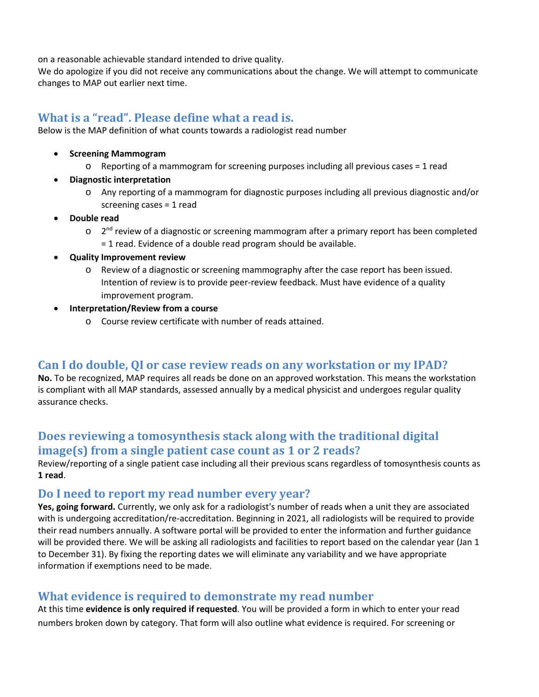on a reasonable achievable standard intended to drive quality.

We do apologize if you did not receive any communications about the change. We will attempt to communicate changes to MAP out earlier next time.

#### **What is a "read". Please define what a read is.**

Below is the MAP definition of what counts towards a radiologist read number

- **Screening Mammogram** 
	- o Reporting of a mammogram for screening purposes including all previous cases = 1 read
- **Diagnostic interpretation** 
	- o Any reporting of a mammogram for diagnostic purposes including all previous diagnostic and/or screening cases = 1 read
- **Double read** 
	- $\circ$  2<sup>nd</sup> review of a diagnostic or screening mammogram after a primary report has been completed = 1 read. Evidence of a double read program should be available.
- **Quality Improvement review**
	- o Review of a diagnostic or screening mammography after the case report has been issued. Intention of review is to provide peer-review feedback. Must have evidence of a quality improvement program.
- **Interpretation/Review from a course**
	- o Course review certificate with number of reads attained.

#### **Can I do double, QI or case review reads on any workstation or my IPAD?**

**No.** To be recognized, MAP requires all reads be done on an approved workstation. This means the workstation is compliant with all MAP standards, assessed annually by a medical physicist and undergoes regular quality assurance checks.

# **Does reviewing a tomosynthesis stack along with the traditional digital image(s) from a single patient case count as 1 or 2 reads?**

Review/reporting of a single patient case including all their previous scans regardless of tomosynthesis counts as **1 read**.

#### **Do I need to report my read number every year?**

**Yes, going forward.** Currently, we only ask for a radiologist's number of reads when a unit they are associated with is undergoing accreditation/re-accreditation. Beginning in 2021, all radiologists will be required to provide their read numbers annually. A software portal will be provided to enter the information and further guidance will be provided there. We will be asking all radiologists and facilities to report based on the calendar year (Jan 1 to December 31). By fixing the reporting dates we will eliminate any variability and we have appropriate information if exemptions need to be made.

#### **What evidence is required to demonstrate my read number**

At this time **evidence is only required if requested**. You will be provided a form in which to enter your read numbers broken down by category. That form will also outline what evidence is required. For screening or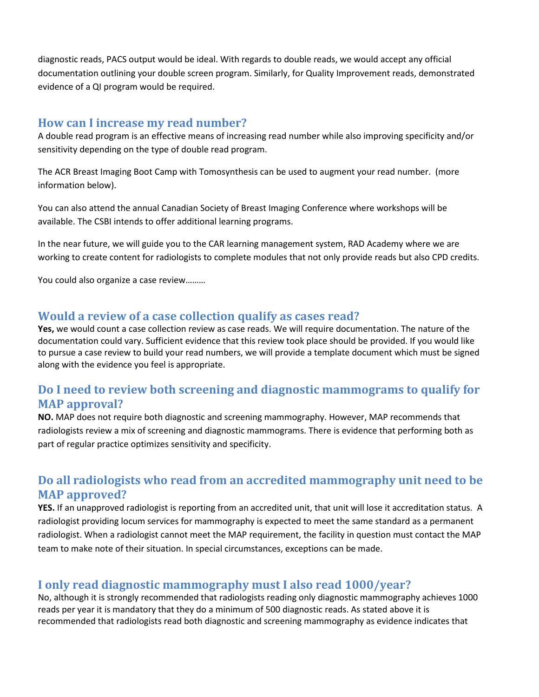diagnostic reads, PACS output would be ideal. With regards to double reads, we would accept any official documentation outlining your double screen program. Similarly, for Quality Improvement reads, demonstrated evidence of a QI program would be required.

#### **How can I increase my read number?**

A double read program is an effective means of increasing read number while also improving specificity and/or sensitivity depending on the type of double read program.

The ACR Breast Imaging Boot Camp with Tomosynthesis can be used to augment your read number. (more information below).

You can also attend the annual Canadian Society of Breast Imaging Conference where workshops will be available. The CSBI intends to offer additional learning programs.

In the near future, we will guide you to the CAR learning management system, RAD Academy where we are working to create content for radiologists to complete modules that not only provide reads but also CPD credits.

You could also organize a case review………

#### **Would a review of a case collection qualify as cases read?**

**Yes,** we would count a case collection review as case reads. We will require documentation. The nature of the documentation could vary. Sufficient evidence that this review took place should be provided. If you would like to pursue a case review to build your read numbers, we will provide a template document which must be signed along with the evidence you feel is appropriate.

#### **Do I need to review both screening and diagnostic mammograms to qualify for MAP approval?**

**NO.** MAP does not require both diagnostic and screening mammography. However, MAP recommends that radiologists review a mix of screening and diagnostic mammograms. There is evidence that performing both as part of regular practice optimizes sensitivity and specificity.

# **Do all radiologists who read from an accredited mammography unit need to be MAP approved?**

**YES.** If an unapproved radiologist is reporting from an accredited unit, that unit will lose it accreditation status. A radiologist providing locum services for mammography is expected to meet the same standard as a permanent radiologist. When a radiologist cannot meet the MAP requirement, the facility in question must contact the MAP team to make note of their situation. In special circumstances, exceptions can be made.

# **I only read diagnostic mammography must I also read 1000/year?**

No, although it is strongly recommended that radiologists reading only diagnostic mammography achieves 1000 reads per year it is mandatory that they do a minimum of 500 diagnostic reads. As stated above it is recommended that radiologists read both diagnostic and screening mammography as evidence indicates that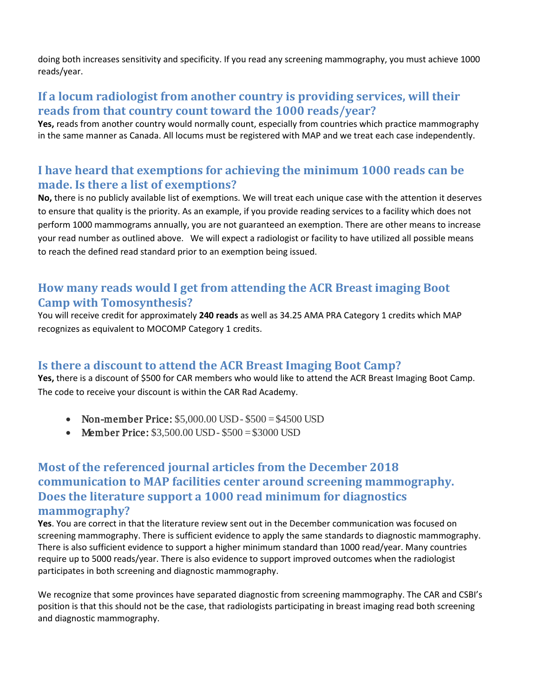doing both increases sensitivity and specificity. If you read any screening mammography, you must achieve 1000 reads/year.

#### **If a locum radiologist from another country is providing services, will their reads from that country count toward the 1000 reads/year?**

**Yes,** reads from another country would normally count, especially from countries which practice mammography in the same manner as Canada. All locums must be registered with MAP and we treat each case independently.

#### **I have heard that exemptions for achieving the minimum 1000 reads can be made. Is there a list of exemptions?**

**No,** there is no publicly available list of exemptions. We will treat each unique case with the attention it deserves to ensure that quality is the priority. As an example, if you provide reading services to a facility which does not perform 1000 mammograms annually, you are not guaranteed an exemption. There are other means to increase your read number as outlined above. We will expect a radiologist or facility to have utilized all possible means to reach the defined read standard prior to an exemption being issued.

#### **How many reads would I get from attending the ACR Breast imaging Boot Camp with Tomosynthesis?**

You will receive credit for approximately **240 reads** as well as 34.25 AMA PRA Category 1 credits which MAP recognizes as equivalent to MOCOMP Category 1 credits.

#### **Is there a discount to attend the ACR Breast Imaging Boot Camp?**

**Yes,** there is a discount of \$500 for CAR members who would like to attend the ACR Breast Imaging Boot Camp. The code to receive your discount is within the CAR Rad Academy.

- Non-member Price:  $$5,000.00$  USD  $$500 = $4500$  USD
- Member Price:  $$3,500.00$  USD  $$500 = $3000$  USD

### **Most of the referenced journal articles from the December 2018 communication to MAP facilities center around screening mammography. Does the literature support a 1000 read minimum for diagnostics mammography?**

**Yes**. You are correct in that the literature review sent out in the December communication was focused on screening mammography. There is sufficient evidence to apply the same standards to diagnostic mammography. There is also sufficient evidence to support a higher minimum standard than 1000 read/year. Many countries require up to 5000 reads/year. There is also evidence to support improved outcomes when the radiologist participates in both screening and diagnostic mammography.

We recognize that some provinces have separated diagnostic from screening mammography. The CAR and CSBI's position is that this should not be the case, that radiologists participating in breast imaging read both screening and diagnostic mammography.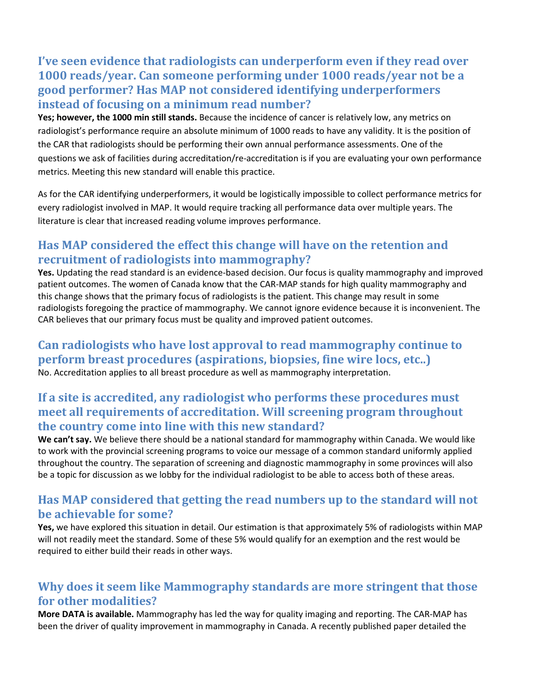# **I've seen evidence that radiologists can underperform even if they read over 1000 reads/year. Can someone performing under 1000 reads/year not be a good performer? Has MAP not considered identifying underperformers instead of focusing on a minimum read number?**

**Yes; however, the 1000 min still stands.** Because the incidence of cancer is relatively low, any metrics on radiologist's performance require an absolute minimum of 1000 reads to have any validity. It is the position of the CAR that radiologists should be performing their own annual performance assessments. One of the questions we ask of facilities during accreditation/re-accreditation is if you are evaluating your own performance metrics. Meeting this new standard will enable this practice.

As for the CAR identifying underperformers, it would be logistically impossible to collect performance metrics for every radiologist involved in MAP. It would require tracking all performance data over multiple years. The literature is clear that increased reading volume improves performance.

### **Has MAP considered the effect this change will have on the retention and recruitment of radiologists into mammography?**

**Yes.** Updating the read standard is an evidence-based decision. Our focus is quality mammography and improved patient outcomes. The women of Canada know that the CAR-MAP stands for high quality mammography and this change shows that the primary focus of radiologists is the patient. This change may result in some radiologists foregoing the practice of mammography. We cannot ignore evidence because it is inconvenient. The CAR believes that our primary focus must be quality and improved patient outcomes.

**Can radiologists who have lost approval to read mammography continue to perform breast procedures (aspirations, biopsies, fine wire locs, etc..)** No. Accreditation applies to all breast procedure as well as mammography interpretation.

# **If a site is accredited, any radiologist who performs these procedures must meet all requirements of accreditation. Will screening program throughout the country come into line with this new standard?**

**We can't say.** We believe there should be a national standard for mammography within Canada. We would like to work with the provincial screening programs to voice our message of a common standard uniformly applied throughout the country. The separation of screening and diagnostic mammography in some provinces will also be a topic for discussion as we lobby for the individual radiologist to be able to access both of these areas.

#### **Has MAP considered that getting the read numbers up to the standard will not be achievable for some?**

**Yes,** we have explored this situation in detail. Our estimation is that approximately 5% of radiologists within MAP will not readily meet the standard. Some of these 5% would qualify for an exemption and the rest would be required to either build their reads in other ways.

# **Why does it seem like Mammography standards are more stringent that those for other modalities?**

**More DATA is available.** Mammography has led the way for quality imaging and reporting. The CAR-MAP has been the driver of quality improvement in mammography in Canada. A recently published paper detailed the